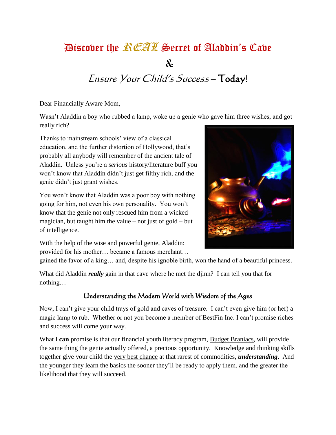# Biscover the *REAL* Secret of Aladdin's Cave

 $\mathbf{x}$ 

# Ensure Your Child's Success – Today!

Dear Financially Aware Mom,

Wasn't Aladdin a boy who rubbed a lamp, woke up a genie who gave him three wishes, and got really rich?

Thanks to mainstream schools' view of a classical education, and the further distortion of Hollywood, that's probably all anybody will remember of the ancient tale of Aladdin. Unless you're a *serious* history/literature buff you won't know that Aladdin didn't just get filthy rich, and the genie didn't just grant wishes.

You won't know that Aladdin was a poor boy with nothing going for him, not even his own personality. You won't know that the genie not only rescued him from a wicked magician, but taught him the value – not just of gold – but of intelligence.



With the help of the wise and powerful genie, Aladdin: provided for his mother… became a famous merchant…

gained the favor of a king… and, despite his ignoble birth, won the hand of a beautiful princess.

What did Aladdin *really* gain in that cave where he met the djinn? I can tell you that for nothing…

#### Understanding the Modern World with Wisdom of the Ages

Now, I can't give your child trays of gold and caves of treasure. I can't even give him (or her) a magic lamp to rub. Whether or not you become a member of BestFin Inc. I can't promise riches and success will come your way.

What I **can** promise is that our financial youth literacy program, **Budget Braniacs**, will provide the same thing the genie actually offered, a precious opportunity. Knowledge and thinking skills together give your child the very best chance at that rarest of commodities, *understanding*. And the younger they learn the basics the sooner they'll be ready to apply them, and the greater the likelihood that they will succeed.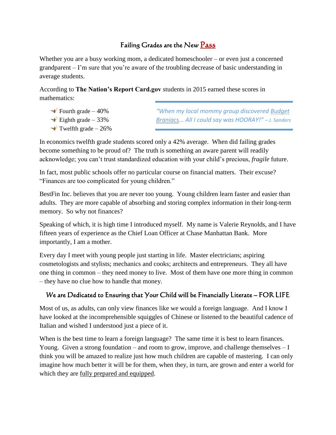## Failing Grades are the New Pass

Whether you are a busy working mom, a dedicated homeschooler – or even just a concerned grandparent – I'm sure that you're aware of the troubling decrease of basic understanding in average students.

According to **The Nation's Report Card.gov** students in 2015 earned these scores in mathematics:

- $\rightarrow$  Fourth grade 40%
- $\triangle$  Eighth grade 33%
- $\rightarrow$  Twelfth grade 26%

*"When my local mommy group discovered Budget Braniacs... All I could say was HOORAY!" – J. Sanders*

In economics twelfth grade students scored only a 42% average. When did failing grades become something to be proud of? The truth is something an aware parent will readily acknowledge; you can't trust standardized education with your child's precious, *fragile* future.

In fact, most public schools offer no particular course on financial matters. Their excuse? "Finances are too complicated for young children."

BestFin Inc. believes that you are never too young. Young children learn faster and easier than adults. They are more capable of absorbing and storing complex information in their long-term memory. So why not finances?

Speaking of which, it is high time I introduced myself. My name is Valerie Reynolds, and I have fifteen years of experience as the Chief Loan Officer at Chase Manhattan Bank. More importantly, I am a mother.

Every day I meet with young people just starting in life. Master electricians; aspiring cosmetologists and stylists; mechanics and cooks; architects and entrepreneurs. They all have one thing in common – they need money to live. Most of them have one more thing in common – they have no clue how to handle that money.

#### We are Dedicated to Ensuring that Your Child will be Financially Literate – FOR LIFE

Most of us, as adults, can only view finances like we would a foreign language. And I know I have looked at the incomprehensible squiggles of Chinese or listened to the beautiful cadence of Italian and wished I understood just a piece of it.

When is the best time to learn a foreign language? The same time it is best to learn finances. Young. Given a strong foundation – and room to grow, improve, and challenge themselves  $-I$ think you will be amazed to realize just how much children are capable of mastering. I can only imagine how much better it will be for them, when they, in turn, are grown and enter a world for which they are fully prepared and equipped.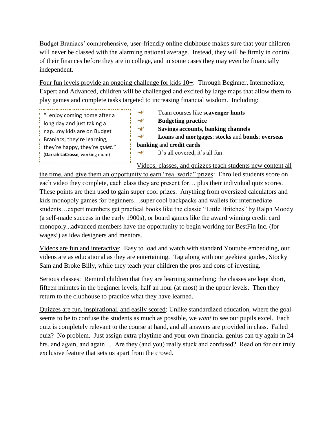Budget Braniacs' comprehensive, user-friendly online clubhouse makes sure that your children will never be classed with the alarming national average. Instead, they will be firmly in control of their finances before they are in college, and in some cases they may even be financially independent.

Four fun levels provide an ongoing challenge for kids 10+: Through Beginner, Intermediate, Expert and Advanced, children will be challenged and excited by large maps that allow them to play games and complete tasks targeted to increasing financial wisdom. Including:

"I enjoy coming home after a long day and just taking a nap…my kids are on Budget Braniacs; they're learning, they're happy, they're *quiet*." (**Darrah LaCrosse**, working mom).<br>Lietuvos reikintintintintintintintin

 $\rightarrow$ Team courses like **scavenger hunts**  $\rightarrow$ **Budgeting practice**  $\rightarrow$ **Savings accounts, banking channels**  $\rightarrow$ **Loans** and **mortgages**; **stocks** and **bonds**; **overseas banking** and **credit cards**  $\rightarrow$ It's all covered, it's all fun!

Videos, classes, and quizzes teach students new content all

the time, and give them an opportunity to earn "real world" prizes: Enrolled students score on each video they complete, each class they are present for… plus their individual quiz scores. These points are then used to gain super cool prizes. Anything from oversized calculators and kids monopoly games for beginners…super cool backpacks and wallets for intermediate students…expert members get practical books like the classic "Little Britches" by Ralph Moody (a self-made success in the early 1900s), or board games like the award winning credit card monopoly...advanced members have the opportunity to begin working for BestFin Inc. (for wages!) as idea designers and mentors.

Videos are fun and interactive: Easy to load and watch with standard Youtube embedding, our videos are as educational as they are entertaining. Tag along with our geekiest guides, Stocky Sam and Broke Billy, while they teach your children the pros and cons of investing.

Serious classes: Remind children that they are learning something; the classes are kept short, fifteen minutes in the beginner levels, half an hour (at most) in the upper levels. Then they return to the clubhouse to practice what they have learned.

Quizzes are fun, inspirational, and easily scored: Unlike standardized education, where the goal seems to be to confuse the students as much as possible, we *want* to see our pupils excel. Each quiz is completely relevant to the course at hand, and all answers are provided in class. Failed quiz? No problem. Just assign extra playtime and your own financial genius can try again in 24 hrs. and again, and again... Are they (and you) really stuck and confused? Read on for our truly exclusive feature that sets us apart from the crowd.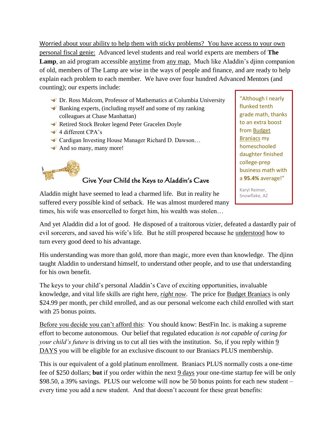Worried about your ability to help them with sticky problems? You have access to your own personal fiscal genie: Advanced level students and real world experts are members of **The Lamp**, an aid program accessible anytime from any map. Much like Aladdin's djinn companion of old, members of The Lamp are wise in the ways of people and finance, and are ready to help explain each problem to each member. We have over four hundred Advanced Mentors (and counting); our experts include:

- Dr. Ross Malcom, Professor of Mathematics at Columbia University
- $\triangleq$  Banking experts, (including myself and some of my ranking colleagues at Chase Manhattan)
- **★ Retired Stock Broker legend Peter Gracelen Doyle**
- $\rightarrow$  4 different CPA's
- ◆ Cardigan Investing House Manager Richard D. Dawson...
- $\triangleq$  And so many, many more!

## Give Your Child the Keys to Aladdin's Cave

"Although I nearly flunked tenth grade math, thanks to an extra boost from Budget Braniacs my homeschooled daughter finished college-prep business math with a **95.4%** average!"

Karyl Reimer, Snowflake, AZ

Aladdin might have seemed to lead a charmed life. But in reality he suffered every possible kind of setback. He was almost murdered many times, his wife was ensorcelled to forget him, his wealth was stolen…

And yet Aladdin did a lot of good. He disposed of a traitorous vizier, defeated a dastardly pair of evil sorcerers, and saved his wife's life. But he still prospered because he understood how to turn every good deed to his advantage.

His understanding was more than gold, more than magic, more even than knowledge. The djinn taught Aladdin to understand himself, to understand other people, and to use that understanding for his own benefit.

The keys to your child's personal Aladdin's Cave of exciting opportunities, invaluable knowledge, and vital life skills are right here, *right now*. The price for Budget Braniacs is only \$24.99 per month, per child enrolled, and as our personal welcome each child enrolled with start with 25 bonus points.

Before you decide you can't afford this: You should know: BestFin Inc. is making a supreme effort to become autonomous. Our belief that regulated education *is not capable of caring for your child's future* is driving us to cut all ties with the institution. So, if you reply within 9 DAYS you will be eligible for an exclusive discount to our Braniacs PLUS membership.

This is our equivalent of a gold platinum enrollment. Braniacs PLUS normally costs a one-time fee of \$250 dollars; **but** if you order within the next 9 days your one-time startup fee will be only \$98.50, a 39% savings. PLUS our welcome will now be 50 bonus points for each new student – every time you add a new student. And that doesn't account for these great benefits: